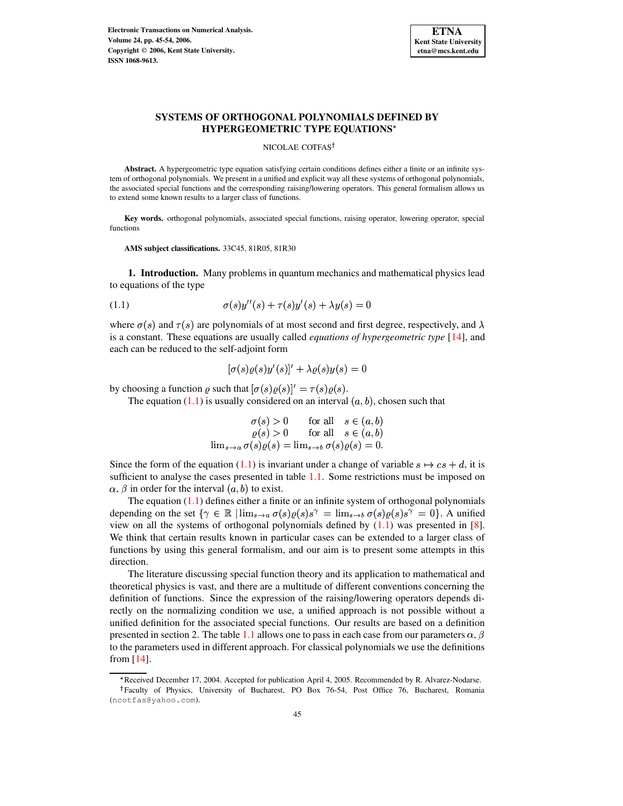

# **SYSTEMS OF ORTHOGONAL POLYNOMIALS DEFINED BY HYPERGEOMETRIC TYPE EQUATIONS**

NICOLAE COTFAS<sup>†</sup>

**Abstract.** A hypergeometric type equation satisfying certain conditions defines either a finite or an infinite system of orthogonal polynomials. We present in a unified and explicit way all these systems of orthogonal polynomials, the associated special functions and the corresponding raising/lowering operators. This general formalism allows us to extend some known results to a larger class of functions.

**Key words.** orthogonal polynomials, associated special functions, raising operator, lowering operator, special functions

**AMS subject classifications.** 33C45, 81R05, 81R30

**1. Introduction.** Many problems in quantum mechanics and mathematical physics lead to equations of the type

<span id="page-0-0"></span>
$$
\sigma(s)y''(s) + \tau(s)y'(s) + \lambda y(s) = 0
$$

where  $\sigma(s)$  and  $\tau(s)$  are polynomials of at most second and first degree, respectively, and  $\lambda$ is a constant. These equations are usually called *equations of hypergeometric type* [\[14\]](#page-9-0), and each can be reduced to the self-adjoint form

$$
[\sigma(s)\varrho(s)y'(s)]'+\lambda\varrho(s)y(s)=0
$$

by choosing a function  $\varrho$  such that  $[\sigma(s)\varrho(s)]' = \tau(s)\varrho(s)$ .

The equation [\(1.1\)](#page-0-0) is usually considered on an interval  $(a, b)$ , chosen such that

$$
\sigma(s) > 0 \quad \text{for all} \quad s \in (a, b)
$$

$$
\varrho(s) > 0 \quad \text{for all} \quad s \in (a, b)
$$

$$
\lim_{s \to a} \sigma(s) \varrho(s) = \lim_{s \to b} \sigma(s) \varrho(s) = 0.
$$

Since the form of the equation [\(1.1\)](#page-0-0) is invariant under a change of variable  $s \mapsto cs + d$ , it is sufficient to analyse the cases presented in table [1.1.](#page-1-0) Some restrictions must be imposed on  $\alpha$ ,  $\beta$  in order for the interval  $(a, b)$  to exist.

The equation [\(1.1\)](#page-0-0) defines either a finite or an infinite system of orthogonal polynomials depending on the set  $\{\gamma \in \mathbb{R} \mid \lim_{s\to a}\sigma(s)\varrho(s)s^{\gamma} = \lim_{s\to b}\sigma(s)\varrho(s)s^{\gamma} = 0\}$ . A unified view on all the systems of orthogonal polynomials defined by  $(1.1)$  was presented in [\[8\]](#page-9-1). We think that certain results known in particular cases can be extended to a larger class of functions by using this general formalism, and our aim is to present some attempts in this direction.

The literature discussing special function theory and its application to mathematical and theoretical physics is vast, and there are a multitude of different conventions concerning the definition of functions. Since the expression of the raising/lowering operators depends directly on the normalizing condition we use, a unified approach is not possible without a unified definition for the associated special functions. Our results are based on a definition presented in section 2. The table [1.1](#page-1-0) allows one to pass in each case from our parameters  $\alpha$ ,  $\beta$ to the parameters used in different approach. For classical polynomials we use the definitions from [\[14\]](#page-9-0).

b Received December 17, 2004. Accepted for publication April 4, 2005. Recommended by R. Alvarez-Nodarse.

Faculty of Physics, University of Bucharest, PO Box 76-54, Post Office 76, Bucharest, Romania (ncotfas@yahoo.com).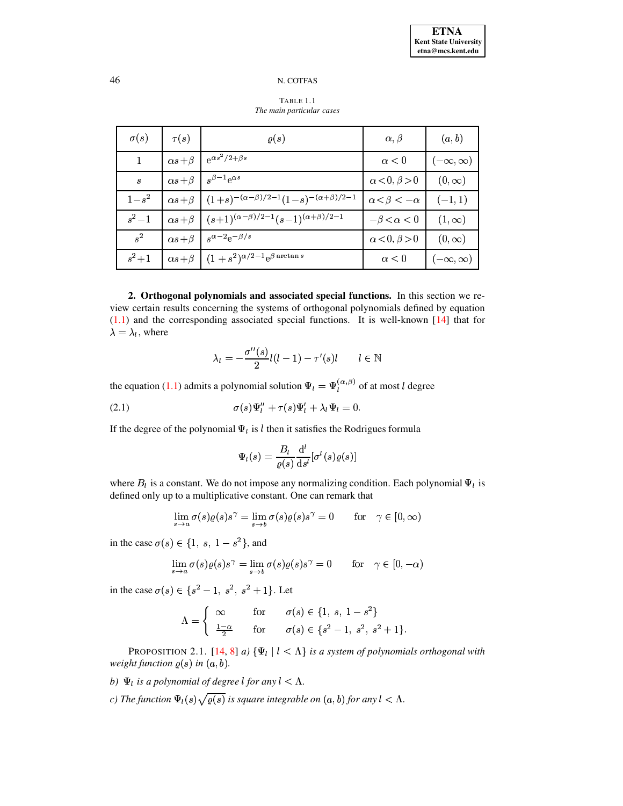<span id="page-1-0"></span>

| $\sigma(s)$                 | $\tau(s)$        | $\rho(s)$                                                | $\alpha, \beta$            | (a, b)             |
|-----------------------------|------------------|----------------------------------------------------------|----------------------------|--------------------|
|                             | $\alpha s+\beta$ | $e^{\alpha s^2/2+\beta s}$                               | $\alpha < 0$               | $(-\infty,\infty)$ |
| $\mathcal{S}_{\mathcal{S}}$ | $\alpha s+\beta$ | $s^{\beta-1}e^{\alpha s}$                                | $\alpha < 0, \beta > 0$    | $(0,\infty)$       |
| $1 - s^2$                   | $\alpha s+\beta$ | $(1+s)^{-(\alpha-\beta)/2-1}(1-s)^{-(\alpha+\beta)/2-1}$ | $\alpha < \beta < -\alpha$ | $(-1, 1)$          |
| $s^2-1$                     | $\alpha s+\beta$ | $(s+1)^{(\alpha-\beta)/2-1}(s-1)^{(\alpha+\beta)/2-1}$   | $-\beta < \alpha < 0$      | $(1,\infty)$       |
| $s^2$                       | $\alpha s+\beta$ | $s^{\alpha-2}e^{-\beta/s}$                               | $\alpha < 0, \beta > 0$    | $(0,\infty)$       |
| $s^2+1$                     | $\alpha s+\beta$ | $(1+s^2)^{\alpha/2-1}e^{\beta \arctan s}$                | $\alpha < 0$               | $(-\infty,\infty)$ |

TABLE 1.1 *The main particular cases*

**2. Orthogonal polynomials and associated special functions.** In this section we review certain results concerning the systems of orthogonal polynomials defined by equation [\(1.1\)](#page-0-0) and the corresponding associated special functions. It is well-known [\[14\]](#page-9-0) that for  $\lambda = \lambda_l$ , where

$$
\lambda_l = -\frac{\sigma''(s)}{2}l(l-1) - \tau'(s)l \qquad l \in \mathbb{N}
$$

the equation [\(1.1\)](#page-0-0) admits a polynomial solution  $\Psi_l = \Psi_l^{(\alpha,\beta)}$  of at mos  $\binom{\alpha,\beta}{l}$  of at most *l* degree

<span id="page-1-1"></span>(2.1) 
$$
\sigma(s)\Psi''_l + \tau(s)\Psi'_l + \lambda_l\Psi_l = 0.
$$

If the degree of the polynomial  $\Psi_l$  is *l* then it satisfies the Rodrigues formula

$$
\Psi_l(s) = \frac{B_l}{\varrho(s)} \frac{\mathrm{d}^l}{\mathrm{d}s^l} [\sigma^l(s) \varrho(s)]
$$

where  $B_l$  is a constant. We do not impose any normalizing condition. Each polynomial  $\Psi_l$  is defined only up to a multiplicative constant. One can remark that

$$
\lim_{s \to a} \sigma(s) \varrho(s) s^{\gamma} = \lim_{s \to b} \sigma(s) \varrho(s) s^{\gamma} = 0 \quad \text{for} \quad \gamma \in [0, \infty)
$$

in the case  $\sigma(s) \in \{1, s, 1 - s^2\}$ , and

$$
\lim_{s \to a} \sigma(s) \varrho(s) s^{\gamma} = \lim_{s \to b} \sigma(s) \varrho(s) s^{\gamma} = 0 \quad \text{for} \quad \gamma \in [0, -\alpha)
$$

in the case  $\sigma(s) \in \{s^2 - 1, s^2, s^2 + 1\}$ . Let

$$
\Lambda = \begin{cases}\n\infty & \text{for } \sigma(s) \in \{1, s, 1 - s^2\} \\
\frac{1 - \alpha}{2} & \text{for } \sigma(s) \in \{s^2 - 1, s^2, s^2 + 1\}.\n\end{cases}
$$

PROPOSITION 2.1. [\[14,](#page-9-0) [8\]](#page-9-1) *a*)  $\{\Psi_l \mid l < \Lambda\}$  *is a system of polynomials orthogonal with weight function*  $\varrho(s)$  *in*  $(a, b)$ .

*b*)  $\Psi_l$  *is a polynomial of degree l for any*  $l < \Lambda$ .

*c*) The function  $\Psi_l(s)\sqrt{\varrho(s)}$  is square integrable on  $(a, b)$  for any  $l < \Lambda$ .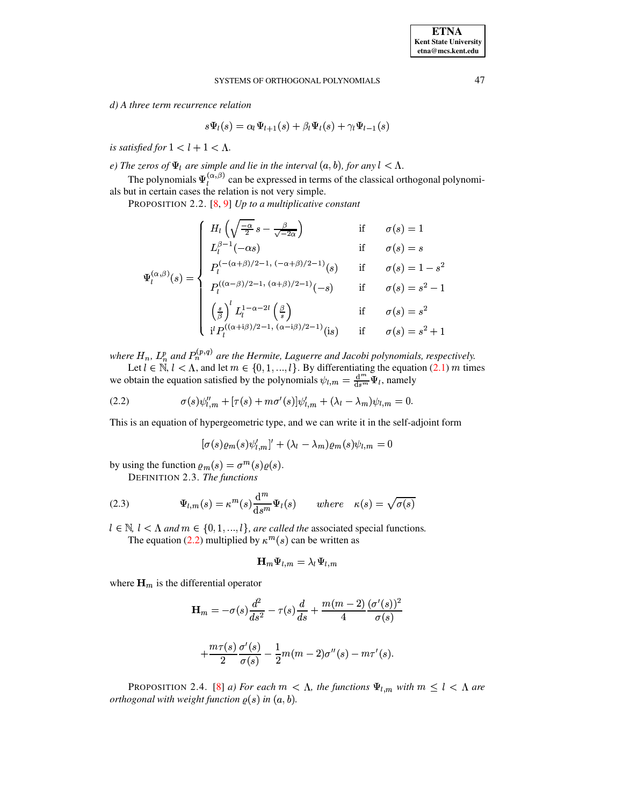*d) A three term recurrence relation*

$$
s\Psi_l(s) = \alpha_l \Psi_{l+1}(s) + \beta_l \Psi_l(s) + \gamma_l \Psi_{l-1}(s)
$$

*is satisfied for*  $1 < l + 1 < \Lambda$ .

*e*) The zeros of  $\Psi_l$  are simple and lie in the interval  $(a, b)$ , for any  $l < \Lambda$ .

The polynomials  $\Psi_l^{(\alpha,\beta)}$  can be ex- $\binom{(\alpha,\beta)}{k}$  can be expressed in terms of the classical orthogonal polynomials but in certain cases the relation is not very simple.

PROPOSITION 2.2. [\[8,](#page-9-1) [9\]](#page-9-2) *Up to a multiplicative constant*

$$
\Psi_l^{(\alpha,\beta)}(s) = \begin{cases}\nH_l\left(\sqrt{\frac{-\alpha}{2}}s - \frac{\beta}{\sqrt{-2\alpha}}\right) & \text{if } \sigma(s) = 1 \\
L_l^{\beta - 1}(-\alpha s) & \text{if } \sigma(s) = s \\
P_l^{(-(\alpha + \beta)/2 - 1, (-\alpha + \beta)/2 - 1)}(s) & \text{if } \sigma(s) = 1 - s^2 \\
P_l^{((\alpha - \beta)/2 - 1, (\alpha + \beta)/2 - 1)}(-s) & \text{if } \sigma(s) = s^2 - 1 \\
\left(\frac{s}{\beta}\right)^l L_l^{1 - \alpha - 2l} \left(\frac{\beta}{s}\right) & \text{if } \sigma(s) = s^2 \\
i^l P_l^{((\alpha + i\beta)/2 - 1, (\alpha - i\beta)/2 - 1)}(is) & \text{if } \sigma(s) = s^2 + 1\n\end{cases}
$$

where  $H_n$ ,  $L_n^p$  and  $P_n^{(p,q)}$  are th v ¢ *are the Hermite, Laguerre and Jacobi polynomials, respectively.*

Let  $l \in \mathbb{N}, l < \Lambda$ , and let  $m \in \{0, 1, ..., l\}$ . By differentiating the equation [\(2.1\)](#page-1-1) m times we obtain the equation satisfied by the polynomials  $\psi_{l,m} = \frac{d^m}{ds^m} \Psi_l$ , namely

<span id="page-2-0"></span>(2.2) 
$$
\sigma(s)\psi''_{l,m} + [\tau(s) + m\sigma'(s)]\psi'_{l,m} + (\lambda_l - \lambda_m)\psi_{l,m} = 0.
$$

This is an equation of hypergeometric type, and we can write it in the self-adjoint form

$$
[\sigma(s)\varrho_m(s)\psi'_{l,m}]'+(\lambda_l-\lambda_m)\varrho_m(s)\psi_{l,m}=0
$$

by using the function  $\rho_m(s) = \sigma^m(s) \varrho(s)$ .

DEFINITION 2.3. *The functions*

<span id="page-2-1"></span>(2.3) 
$$
\Psi_{l,m}(s) = \kappa^m(s) \frac{d^m}{ds^m} \Psi_l(s) \quad where \quad \kappa(s) = \sqrt{\sigma(s)}
$$

 $l \in \mathbb{N}, l < \Lambda$  and  $m \in \{0, 1, ..., l\}$ , are called the associated special functions.

The equation [\(2.2\)](#page-2-0) multiplied by  $\kappa^{m}(s)$  can be written as

$$
\mathbf{H}_m\Psi_{l,m}=\lambda_l\Psi_{l,m}
$$

where  $\mathbf{H}_m$  is the differential operator

$$
\mathbf{H}_{m} = -\sigma(s)\frac{d^{2}}{ds^{2}} - \tau(s)\frac{d}{ds} + \frac{m(m-2)}{4}\frac{(\sigma'(s))^{2}}{\sigma(s)}
$$

$$
+ \frac{m\tau(s)}{2}\frac{\sigma'(s)}{\sigma(s)} - \frac{1}{2}m(m-2)\sigma''(s) - m\tau'(s).
$$

PROPOSITION 2.4. [\[8\]](#page-9-1) *a)* For each  $m < \Lambda$ , the functions  $\Psi_{l,m}$  with  $m \leq l < \Lambda$  are *orthogonal* with weight function  $\rho(s)$  in  $(a, b)$ .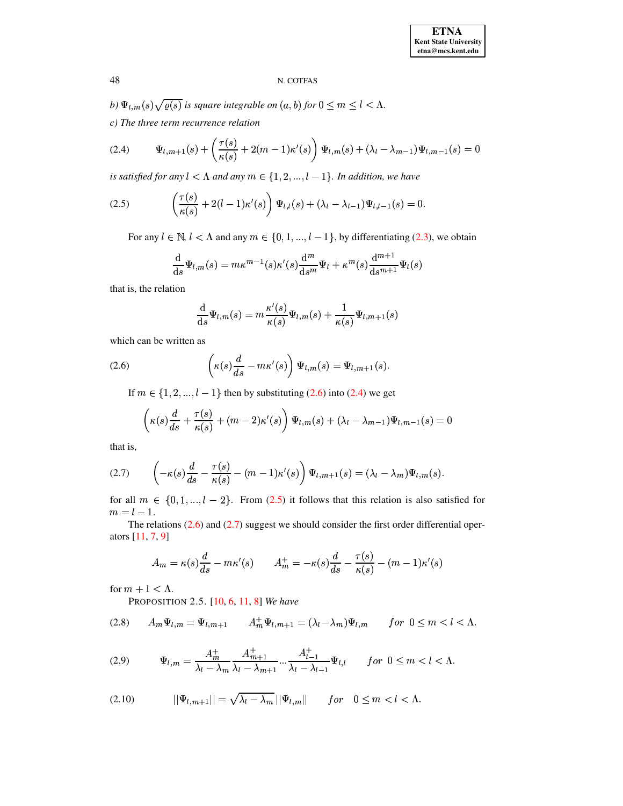*b*)  $\Psi_{l,m}(s)\sqrt{\varrho(s)}$  is square integrable on  $(a,b)$  for  $0 \le m \le l < \Lambda$ . *c) The three term recurrence relation*

<span id="page-3-1"></span>(2.4) 
$$
\Psi_{l,m+1}(s) + \left(\frac{\tau(s)}{\kappa(s)} + 2(m-1)\kappa'(s)\right)\Psi_{l,m}(s) + (\lambda_l - \lambda_{m-1})\Psi_{l,m-1}(s) = 0
$$

is satisfied for any  $l < \Lambda$  and any  $m \in \{1, 2, ..., l-1\}$ . In addition, we have

<span id="page-3-2"></span>(2.5) 
$$
\left(\frac{\tau(s)}{\kappa(s)} + 2(l-1)\kappa'(s)\right) \Psi_{l,l}(s) + (\lambda_l - \lambda_{l-1}) \Psi_{l,l-1}(s) = 0.
$$

For any  $l \in \mathbb{N}$ ,  $l < \Lambda$  and any  $m \in \{0, 1, ..., l-1\}$ , by differentiating [\(2.3\)](#page-2-1), we obtain

$$
\frac{\mathrm{d}}{\mathrm{d}s}\Psi_{l,m}(s) = m\kappa^{m-1}(s)\kappa'(s)\frac{\mathrm{d}^m}{\mathrm{d}s^m}\Psi_l + \kappa^m(s)\frac{\mathrm{d}^{m+1}}{\mathrm{d}s^{m+1}}\Psi_l(s)
$$

that is, the relation

$$
\frac{\mathrm{d}}{\mathrm{d}s}\Psi_{l,m}(s) = m\frac{\kappa'(s)}{\kappa(s)}\Psi_{l,m}(s) + \frac{1}{\kappa(s)}\Psi_{l,m+1}(s)
$$

which can be written as

<span id="page-3-0"></span>(2.6) 
$$
\left(\kappa(s)\frac{d}{ds}-m\kappa'(s)\right)\Psi_{l,m}(s)=\Psi_{l,m+1}(s).
$$

If  $m \in \{1, 2, ..., l - 1\}$  then by substituting  $(2.6)$  into  $(2.4)$  we get

$$
\left(\kappa(s)\frac{d}{ds} + \frac{\tau(s)}{\kappa(s)} + (m-2)\kappa'(s)\right)\Psi_{l,m}(s) + (\lambda_l - \lambda_{m-1})\Psi_{l,m-1}(s) = 0
$$

that is,

<span id="page-3-3"></span>
$$
(2.7) \qquad \left(-\kappa(s)\frac{d}{ds}-\frac{\tau(s)}{\kappa(s)}-(m-1)\kappa'(s)\right)\Psi_{l,m+1}(s)=(\lambda_l-\lambda_m)\Psi_{l,m}(s).
$$

for all  $m \in \{0, 1, ..., l-2\}$ . From [\(2.5\)](#page-3-2) it follows that this relation is also satisfied for  $m=l-1$ .

The relations  $(2.6)$  and  $(2.7)$  suggest we should consider the first order differential operators [\[11,](#page-9-3) [7,](#page-9-4) [9\]](#page-9-2)

$$
A_m = \kappa(s)\frac{d}{ds} - m\kappa'(s) \qquad A_m^+ = -\kappa(s)\frac{d}{ds} - \frac{\tau(s)}{\kappa(s)} - (m-1)\kappa'(s)
$$

for  $m + 1 < \Lambda$ .

PROPOSITION 2.5. [\[10,](#page-9-5) [6,](#page-9-6) [11,](#page-9-3) [8\]](#page-9-1) *We have*

<span id="page-3-4"></span>
$$
(2.8) \qquad A_m \Psi_{l,m} = \Psi_{l,m+1} \qquad A_m^+ \Psi_{l,m+1} = (\lambda_l - \lambda_m) \Psi_{l,m} \qquad for \ 0 \le m < l < \Lambda.
$$

<span id="page-3-5"></span>(2.9) 
$$
\Psi_{l,m} = \frac{A_m^+}{\lambda_l - \lambda_m} \frac{A_{m+1}^+}{\lambda_l - \lambda_{m+1}} \cdots \frac{A_{l-1}^+}{\lambda_l - \lambda_{l-1}} \Psi_{l,l} \quad \text{for } 0 \leq m < l < \Lambda.
$$

<span id="page-3-6"></span>
$$
(2.10) \t\t ||\Psi_{l,m+1}|| = \sqrt{\lambda_l - \lambda_m} ||\Psi_{l,m}|| \t \text{for} \t 0 \leq m < l < \Lambda.
$$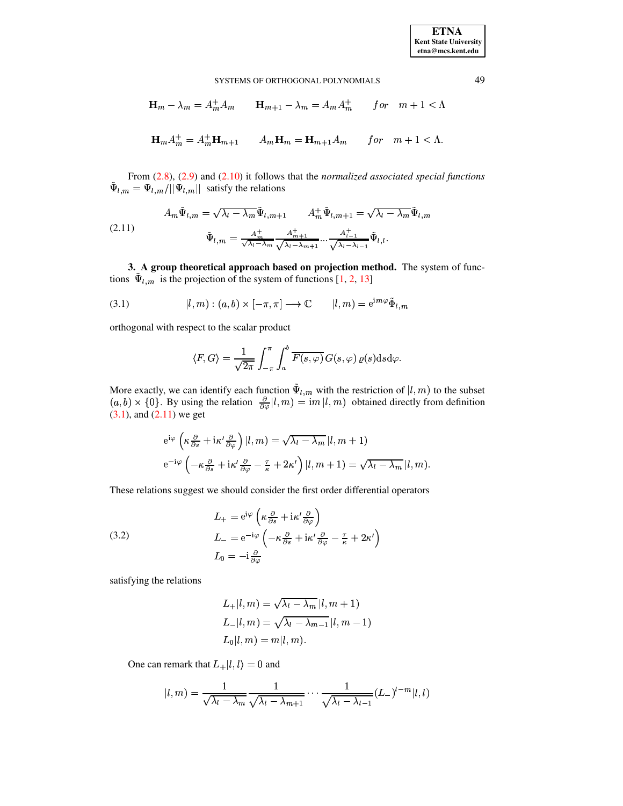### SYSTEMS OF ORTHOGONAL POLYNOMIALS 49

$$
\mathbf{H}_{m} - \lambda_{m} = A_{m}^{+} A_{m} \qquad \mathbf{H}_{m+1} - \lambda_{m} = A_{m} A_{m}^{+} \qquad \text{for} \quad m+1 < \Lambda
$$
\n
$$
\mathbf{H}_{m} A_{m}^{+} = A_{m}^{+} \mathbf{H}_{m+1} \qquad A_{m} \mathbf{H}_{m} = \mathbf{H}_{m+1} A_{m} \qquad \text{for} \quad m+1 < \Lambda.
$$

From [\(2.8\)](#page-3-4), [\(2.9\)](#page-3-5) and [\(2.10\)](#page-3-6) it follows that the *normalized associated special functions*  $\tilde{\Psi}_{l,m} = \Psi_{l,m}/||\Psi_{l,m}||$  satisfy the relations

<span id="page-4-1"></span>(2.11) 
$$
A_m \tilde{\Psi}_{l,m} = \sqrt{\lambda_l - \lambda_m} \tilde{\Psi}_{l,m+1} \qquad A_m^+ \tilde{\Psi}_{l,m+1} = \sqrt{\lambda_l - \lambda_m} \tilde{\Psi}_{l,m}
$$

$$
\tilde{\Psi}_{l,m} = \frac{A_m^+}{\sqrt{\lambda_l - \lambda_m}} \frac{A_{m+1}^+}{\sqrt{\lambda_l - \lambda_{m+1}}} \dots \frac{A_{l-1}^+}{\sqrt{\lambda_l - \lambda_{l-1}}} \tilde{\Psi}_{l,l}.
$$

**3. A group theoretical approach based on projection method.** The system of functions  $\tilde{\Psi}_{l,m}$  is the projection of the system of functions [\[1,](#page-9-7) [2,](#page-9-8) [13\]](#page-9-9)

<span id="page-4-0"></span>(3.1) 
$$
|l,m):(a,b)\times[-\pi,\pi]\longrightarrow\mathbb{C}\qquad|l,m)=e^{im\varphi}\tilde{\Phi}_{l,m}
$$

orthogonal with respect to the scalar product

$$
\langle F, G \rangle = \frac{1}{\sqrt{2\pi}} \int_{-\pi}^{\pi} \int_{a}^{b} \overline{F(s, \varphi)} G(s, \varphi) \varrho(s) ds d\varphi.
$$

More exactly, we can identify each function  $\tilde{\Psi}_{l,m}$  with the restriction of  $|l,m\rangle$  to the subset  $(a,b) \times \{0\}$ . By using the relation  $\frac{\partial}{\partial \varphi}|l,m\rangle = im |l,m\rangle$  obtained directly from definition  $|l, m\rangle = |m|l, m\rangle$  obtained directly from definition  $(3.1)$ , and  $(2.11)$  we get

$$
e^{i\varphi}\left(\kappa \frac{\partial}{\partial s} + i\kappa' \frac{\partial}{\partial \varphi}\right)|l,m\rangle = \sqrt{\lambda_l - \lambda_m} |l,m+1\rangle
$$
  

$$
e^{-i\varphi}\left(-\kappa \frac{\partial}{\partial s} + i\kappa' \frac{\partial}{\partial \varphi} - \frac{\tau}{\kappa} + 2\kappa'\right)|l,m+1\rangle = \sqrt{\lambda_l - \lambda_m} |l,m\rangle.
$$

These relations suggest we should consider the first order differential operators

<span id="page-4-2"></span>(3.2)  
\n
$$
L_{+} = e^{i\varphi} \left( \kappa \frac{\partial}{\partial s} + i\kappa' \frac{\partial}{\partial \varphi} \right)
$$
\n
$$
L_{-} = e^{-i\varphi} \left( -\kappa \frac{\partial}{\partial s} + i\kappa' \frac{\partial}{\partial \varphi} - \frac{\tau}{\kappa} + 2\kappa' \right)
$$
\n
$$
L_{0} = -i \frac{\partial}{\partial \varphi}
$$

satisfying the relations

$$
L_+|l,m\rangle = \sqrt{\lambda_l - \lambda_m} |l, m+1\rangle
$$
  
\n
$$
L_-|l,m\rangle = \sqrt{\lambda_l - \lambda_{m-1}} |l, m-1\rangle
$$
  
\n
$$
L_0|l,m\rangle = m|l,m\rangle.
$$

One can remark that  $L_{+} | l, l \rangle = 0$  and

$$
|l,m)=\frac{1}{\sqrt{\lambda_l-\lambda_m}}\frac{1}{\sqrt{\lambda_l-\lambda_{m+1}}}\cdots\frac{1}{\sqrt{\lambda_l-\lambda_{l-1}}}(L_-)^{l-m}|l,l)
$$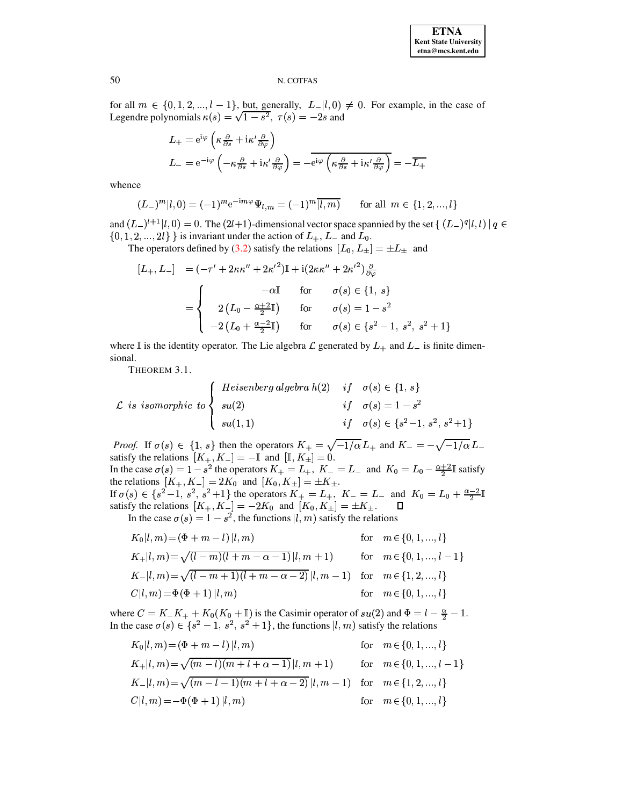for all  $m \in \{0, 1, 2, ..., l-1\}$ , but, generally,  $L = (l, 0) \neq 0$ . For example, in the case of Legendre polynomials  $\kappa(s) = \sqrt{1 - s^2}$ ,  $\tau(s) = -2s$  and

$$
L_{+} = e^{i\varphi} \left( \kappa \frac{\partial}{\partial s} + i\kappa' \frac{\partial}{\partial \varphi} \right)
$$
  

$$
L_{-} = e^{-i\varphi} \left( -\kappa \frac{\partial}{\partial s} + i\kappa' \frac{\partial}{\partial \varphi} \right) = -e^{i\varphi} \left( \kappa \frac{\partial}{\partial s} + i\kappa' \frac{\partial}{\partial \varphi} \right) = -\overline{L_{+}}
$$

whence

$$
(L_{-})^{m}|l,0) = (-1)^{m} e^{-im\varphi} \Psi_{l,m} = (-1)^{m} \overline{|l,m|} \quad \text{for all } m \in \{1,2,...,l\}
$$

and  $(L_{-})^{l+1}$ ,  $(l, 0) = 0$ . The  $(2l+1)$ -dimensional vector space spannied by the set  $\{(L_{-})^q | l, l\}$  |  $q \in$  $\{0, 1, 2, ..., 2l\}$  is invariant under the action of  $L_+$ ,  $L_-$  and  $L_0$ .

The operators defined by (3.2) satisfy the relations  $[L_0, L_{\pm}] = \pm L_{\pm}$  and

$$
[L_+, L_-] = (-\tau' + 2\kappa \kappa'' + 2\kappa'^2)\mathbb{I} + i(2\kappa \kappa'' + 2\kappa'^2)\frac{\partial}{\partial \varphi}
$$
  

$$
= \begin{cases} -\alpha \mathbb{I} & \text{for } \sigma(s) \in \{1, s\} \\ 2(L_0 - \frac{\alpha+2}{2}\mathbb{I}) & \text{for } \sigma(s) = 1 - s^2 \\ -2(L_0 + \frac{\alpha-2}{2}\mathbb{I}) & \text{for } \sigma(s) \in \{s^2 - 1, s^2, s^2 + 1\} \end{cases}
$$

where  $\mathbb I$  is the identity operator. The Lie algebra  $\mathcal L$  generated by  $L_+$  and  $L_-$  is finite dimensional.

THEOREM 3.1.

$$
\mathcal{L} \text{ is isomorphic to } \begin{cases} \text{Heisenberg algebra } h(2) & \text{if } \sigma(s) \in \{1, s\} \\ su(2) & \text{if } \sigma(s) = 1 - s^2 \\ su(1, 1) & \text{if } \sigma(s) \in \{s^2 - 1, s^2, s^2 + 1\} \end{cases}
$$

*Proof.* If  $\sigma(s) \in \{1, s\}$  then the operators  $K_+ = \sqrt{-1/\alpha} L_+$  and  $K_- = -\sqrt{-1/\alpha} L_-$ <br>satisfy the relations  $[K_+, K_-] = -\mathbb{I}$  and  $[\mathbb{I}, K_\pm] = 0$ .<br>In the case  $\sigma(s) = 1 - s^2$  the operators  $K_+ = L_+$ ,  $K_- = L_-$  and  $K_0 = L_0 - \frac{\alpha +$ the relations  $[K_+, K_-] = 2K_0$  and  $[K_0, K_{\pm}] = \pm K_{\pm}$ .<br>If  $\sigma(s) \in \{s^2 - 1, s^2, s^2 + 1\}$  the operators  $K_+ = L_+$ ,  $K_- = L_-$  and  $K_0 = L_0 + \frac{\alpha - 2}{2} \mathbb{I}$ satisfy the relations  $[K_+, K_-] = -2K_0$  and  $[K_0, K_{\pm}] = \pm K_{\pm}$ .  $\Box$ In the case  $\sigma(s) = 1 - s^2$ , the functions  $|l, m\rangle$  satisfy the relations

$$
K_0|l,m) = (\Phi + m - l) |l,m) \qquad \text{for } m \in \{0, 1, ..., l\}
$$
  
\n
$$
K_+|l,m) = \sqrt{(l-m)(l+m-\alpha-1)}|l,m+1) \qquad \text{for } m \in \{0, 1, ..., l-1\}
$$
  
\n
$$
K_-|l,m) = \sqrt{(l-m+1)(l+m-\alpha-2)}|l,m-1) \qquad \text{for } m \in \{1, 2, ..., l\}
$$
  
\n
$$
C|l,m) = \Phi(\Phi + 1)|l,m) \qquad \text{for } m \in \{0, 1, ..., l\}
$$

where  $C = K_-K_+ + K_0(K_0 + \mathbb{I})$  is the Casimir operator of  $su(2)$  and  $\Phi = l - \frac{\alpha}{2} - 1$ .<br>In the case  $\sigma(s) \in \{s^2 - 1, s^2, s^2 + 1\}$ , the functions  $|l, m\rangle$  satisfy the relations

$$
K_0|l,m) = (\Phi + m - l) |l,m) \qquad \text{for } m \in \{0, 1, ..., l\}
$$
  
\n
$$
K_+|l,m) = \sqrt{(m - l)(m + l + \alpha - 1)} |l, m + 1) \qquad \text{for } m \in \{0, 1, ..., l - 1\}
$$
  
\n
$$
K_-|l,m) = \sqrt{(m - l - 1)(m + l + \alpha - 2)} |l, m - 1) \qquad \text{for } m \in \{1, 2, ..., l\}
$$
  
\n
$$
C|l,m) = -\Phi(\Phi + 1) |l,m) \qquad \text{for } m \in \{0, 1, ..., l\}
$$

50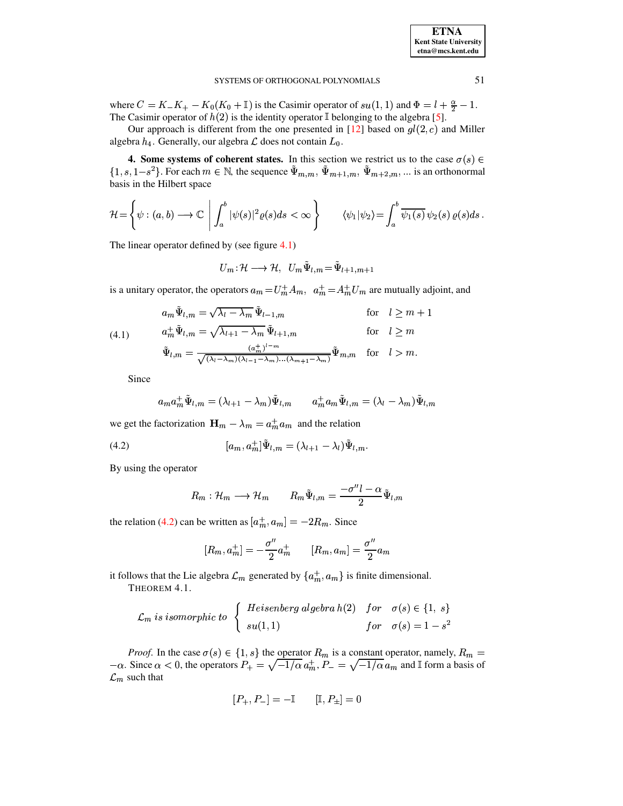| <b>ETNA</b>                  |
|------------------------------|
| <b>Kent State University</b> |
| etna@mcs.kent.edu            |

where  $C = K_-K_+ - K_0(K_0 + \mathbb{I})$  is the Casimir operator of  $su(1,1)$  and  $\Phi = l + \frac{\alpha}{2} - 1$ . The Casimir operator of  $h(2)$  is the identity operator I belonging to the algebra [5].

Our approach is different from the one presented in [12] based on  $gl(2, c)$  and Miller algebra  $h_4$ . Generally, our algebra  $\mathcal L$  does not contain  $L_0$ .

4. Some systems of coherent states. In this section we restrict us to the case  $\sigma(s) \in$  $\{1, s, 1-s^2\}$ . For each  $m \in \mathbb{N}$ , the sequence  $\Psi_{m,m}$ ,  $\Psi_{m+1,m}$ ,  $\Psi_{m+2,m}$ , ... is an orthonormal basis in the Hilbert space

$$
\mathcal{H} = \left\{ \psi : (a, b) \longrightarrow \mathbb{C} \middle| \int_a^b |\psi(s)|^2 \varrho(s) ds < \infty \right\} \qquad \langle \psi_1 | \psi_2 \rangle = \int_a^b \overline{\psi_1(s)} \psi_2(s) \varrho(s) ds \, .
$$

The linear operator defined by (see figure  $4.1$ )

$$
U_m: \mathcal{H} \longrightarrow \mathcal{H}, \quad U_m \tilde{\Psi}_{l,m} = \tilde{\Psi}_{l+1,m+1}
$$

is a unitary operator, the operators  $a_m = U_m^+ A_m$ ,  $a_m^+ = A_m^+ U_m$  are mutually adjoint, and

<span id="page-6-1"></span>
$$
a_m \tilde{\Psi}_{l,m} = \sqrt{\lambda_l - \lambda_m} \tilde{\Psi}_{l-1,m} \qquad \text{for} \quad l \ge m+1
$$
  
(4.1) 
$$
a_m^+ \tilde{\Psi}_{l,m} = \sqrt{\lambda_{l+1} - \lambda_m} \tilde{\Psi}_{l+1,m} \qquad \text{for} \quad l \ge m
$$

$$
\tilde{\Psi}_{l,m} = \frac{(a_m^+)^{l-m}}{\sqrt{(\lambda_l - \lambda_m)(\lambda_{l-1} - \lambda_m)\dots(\lambda_{m+1} - \lambda_m)}} \tilde{\Psi}_{m,m} \qquad \text{for} \quad l > m.
$$

Since

$$
a_m a_m^+ \tilde{\Psi}_{l,m} = (\lambda_{l+1} - \lambda_m) \tilde{\Psi}_{l,m} \qquad a_m^+ a_m \tilde{\Psi}_{l,m} = (\lambda_l - \lambda_m) \tilde{\Psi}_{l,m}
$$

we get the factorization  $\mathbf{H}_m - \lambda_m = a_m^+ a_m$  and the relation

<span id="page-6-0"></span>(4.2) 
$$
[a_m, a_m^+] \tilde{\Psi}_{l,m} = (\lambda_{l+1} - \lambda_l) \tilde{\Psi}_{l,m}.
$$

By using the operator

$$
R_m: \mathcal{H}_m \longrightarrow \mathcal{H}_m \qquad R_m \tilde{\Psi}_{l,m} = \frac{-\sigma'' l - \alpha}{2} \tilde{\Psi}_{l,m}
$$

the relation (4.2) can be written as  $[a_m^+, a_m] = -2R_m$ . Since

$$
[R_m, a_m^+] = -\frac{\sigma''}{2} a_m^+ \qquad [R_m, a_m] = \frac{\sigma''}{2} a_m
$$

it follows that the Lie algebra  $\mathcal{L}_m$  generated by  $\{a_m^+, a_m\}$  is finite dimensional.

THEOREM 4.1.

$$
\mathcal{L}_m \text{ is isomorphic to } \left\{ \begin{array}{ll} Heisenberg \text{ algebra } h(2) \quad for \quad \sigma(s) \in \{1, s\} \\ su(1, 1) \quad & for \quad \sigma(s) = 1 - s^2 \end{array} \right.
$$

*Proof.* In the case  $\sigma(s) \in \{1, s\}$  the operator  $R_m$  is a constant operator, namely,  $R_m =$  $-\alpha$ . Since  $\alpha < 0$ , the operators  $P_+ = \sqrt{-1/\alpha} a_m^+$ ,  $P_- = \sqrt{-1/\alpha} a_m$  and I form a basis of  $\mathcal{L}_m$  such that

$$
[P_+,P_-]=-{\mathbb I}\qquad [{\mathbb I},P_\pm]=0
$$

51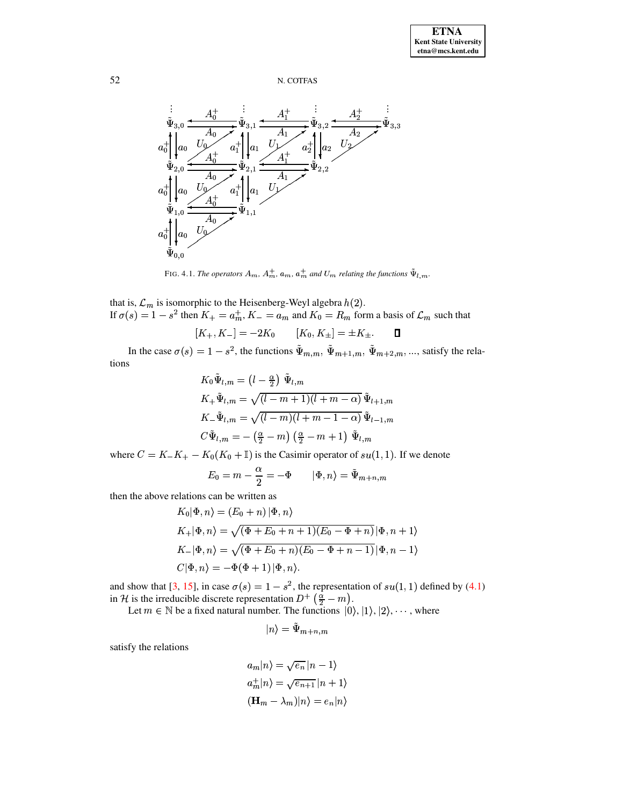

FIG. 4.1. *The operators*  $A_m$ ,  $A_m^+$ ,  $a_m$ ,  $a_m^+$  and  $U_m$  relating the functions  $\Psi_{l,m}$ .

<span id="page-7-0"></span>that is,  $\mathcal{L}_m$  is isomorphic to the Heisenberg-Weyl algebra  $h(2)$ . If  $\sigma(s) = 1 - s^2$  then  $K_+ = a_m^+, K_- = a_m$  and  $K_0 = R_m$  form a basis of  $\mathcal{L}_m$  such that

$$
[K_+, K_-] = -2K_0 \qquad [K_0, K_{\pm}] = \pm K_{\pm}.\qquad \Box
$$

In the case  $\sigma(s) = 1 - s^2$ , the functions  $\tilde{\Psi}_{m,m}$ ,  $\tilde{\Psi}_{m+1,m}$ ,  $\tilde{\Psi}_{m+2,m}$ , ..., satisfy the relations

$$
K_0 \tilde{\Psi}_{l,m} = (l - \frac{\alpha}{2}) \tilde{\Psi}_{l,m}
$$
  
\n
$$
K_+ \tilde{\Psi}_{l,m} = \sqrt{(l-m+1)(l+m-\alpha)} \tilde{\Psi}_{l+1,m}
$$
  
\n
$$
K_- \tilde{\Psi}_{l,m} = \sqrt{(l-m)(l+m-1-\alpha)} \tilde{\Psi}_{l-1,m}
$$
  
\n
$$
C \tilde{\Psi}_{l,m} = -(\frac{\alpha}{2} - m) (\frac{\alpha}{2} - m + 1) \tilde{\Psi}_{l,m}
$$

where  $C = K_-K_+ - K_0(K_0 + \mathbb{I})$  is the Casimir operator of  $su(1,1)$ . If we denote

$$
E_0=m-\frac{\alpha}{2}=-\Phi \qquad |\Phi,n\rangle=\tilde{\Psi}_{m+n,m}
$$

then the above relations can be written as

$$
K_0|\Phi,n\rangle = (E_0+n)|\Phi,n\rangle
$$
  
\n
$$
K_+|\Phi,n\rangle = \sqrt{(\Phi + E_0 + n + 1)(E_0 - \Phi + n)}|\Phi,n+1\rangle
$$
  
\n
$$
K_-|\Phi,n\rangle = \sqrt{(\Phi + E_0 + n)(E_0 - \Phi + n - 1)}|\Phi,n-1\rangle
$$
  
\n
$$
C|\Phi,n\rangle = -\Phi(\Phi+1)|\Phi,n\rangle.
$$

and show that [\[3,](#page-9-12) [15\]](#page-9-13), in case  $\sigma(s) = 1 - s^2$ , the representation of  $su(1, 1)$  defined by [\(4.1\)](#page-6-1) in H is the irreducible discrete representation  $D^+$   $(\frac{\alpha}{2} - m)$ .

Let  $m \in \mathbb{N}$  be a fixed natural number. The functions  $|0\rangle, |1\rangle, |2\rangle, \cdots$ , where

$$
n\rangle=\tilde{\Psi}_{m+n,m}
$$

satisfy the relations

$$
a_m|n\rangle = \sqrt{e_n} |n-1\rangle
$$
  
\n
$$
a_m^+|n\rangle = \sqrt{e_{n+1}} |n+1\rangle
$$
  
\n
$$
(\mathbf{H}_m - \lambda_m)|n\rangle = e_n|n\rangle
$$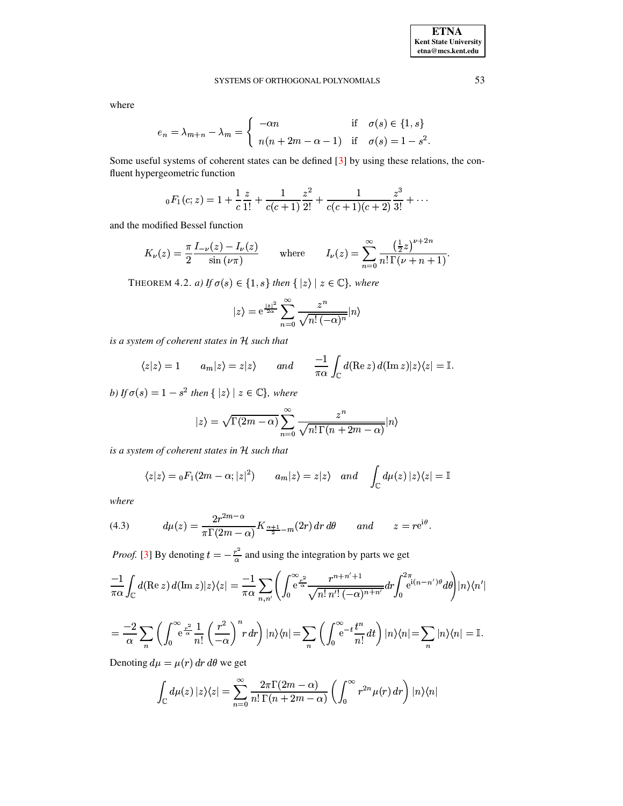#### SYSTEMS OF ORTHOGONAL POLYNOMIALS

where

$$
e_n = \lambda_{m+n} - \lambda_m = \begin{cases} -\alpha n & \text{if } \sigma(s) \in \{1, s\} \\ n(n+2m - \alpha - 1) & \text{if } \sigma(s) = 1 - s^2 \end{cases}
$$

Some useful systems of coherent states can be defined [3] by using these relations, the confluent hypergeometric function

$$
{}_0F_1(c;z) = 1 + \frac{1}{c} \frac{z}{1!} + \frac{1}{c(c+1)} \frac{z^2}{2!} + \frac{1}{c(c+1)(c+2)} \frac{z^3}{3!} + \cdots
$$

and the modified Bessel function

$$
K_{\nu}(z) = \frac{\pi}{2} \frac{I_{-\nu}(z) - I_{\nu}(z)}{\sin(\nu \pi)} \quad \text{where} \quad I_{\nu}(z) = \sum_{n=0}^{\infty} \frac{\left(\frac{1}{2}z\right)^{\nu+2n}}{n! \Gamma(\nu+n+1)}.
$$

THEOREM 4.2. a) If  $\sigma(s) \in \{1, s\}$  then  $\{|z\rangle | z \in \mathbb{C}\}$ , where

$$
|z\rangle = e^{\frac{|z|^2}{2\alpha}} \sum_{n=0}^{\infty} \frac{z^n}{\sqrt{n! (-\alpha)^n}} |n\rangle
$$

is a system of coherent states in  $H$  such that

$$
\langle z|z\rangle = 1
$$
  $a_m|z\rangle = z|z\rangle$  and  $\frac{-1}{\pi\alpha} \int_{\mathbb{C}} d(\text{Re } z) d(\text{Im } z)|z\rangle \langle z| = \mathbb{I}.$ 

b) If  $\sigma(s) = 1 - s^2$  then  $\{|z\rangle | z \in \mathbb{C}\}$ , where

$$
|z\rangle = \sqrt{\Gamma(2m - \alpha)} \sum_{n=0}^{\infty} \frac{z^n}{\sqrt{n! \Gamma(n + 2m - \alpha)}} |n\rangle
$$

is a system of coherent states in  $H$  such that

$$
\langle z|z\rangle = {}_0F_1(2m - \alpha; |z|^2) \qquad a_m|z\rangle = z|z\rangle \quad and \quad \int_{\mathbb{C}} d\mu(z) |z\rangle\langle z| = \mathbb{I}
$$

where

<span id="page-8-0"></span>(4.3) 
$$
d\mu(z) = \frac{2r^{2m-\alpha}}{\pi \Gamma(2m-\alpha)} K_{\frac{\alpha+1}{2}-m}(2r) dr d\theta \quad and \quad z = re^{i\theta}.
$$

*Proof.* [3] By denoting  $t = -\frac{r^2}{\alpha}$  and using the integration by parts we get

$$
\frac{-1}{\pi\alpha} \int_{\mathbb{C}} d(\text{Re } z) d(\text{Im } z) |z\rangle\langle z| = \frac{-1}{\pi\alpha} \sum_{n,n'} \left( \int_0^{\infty} e^{\frac{r^2}{\alpha}} \frac{r^{n+n'+1}}{\sqrt{n! \, n'! \, (-\alpha)^{n+n'}}} dr \int_0^{2\pi} e^{i(n-n')\theta} d\theta \right) |n\rangle\langle n'|
$$

$$
= \frac{-2}{\alpha} \sum_{n} \left( \int_{0}^{\infty} e^{\frac{x^{2}}{\alpha}} \frac{1}{n!} \left( \frac{r^{2}}{-\alpha} \right)^{n} r dr \right) |n\rangle\langle n| = \sum_{n} \left( \int_{0}^{\infty} e^{-t} \frac{t^{n}}{n!} dt \right) |n\rangle\langle n| = \sum_{n} |n\rangle\langle n| = \mathbb{I}.
$$

Denoting  $d\mu = \mu(r) dr d\theta$  we get

$$
\int_{\mathbb{C}} d\mu(z) |z\rangle\langle z| = \sum_{n=0}^{\infty} \frac{2\pi \Gamma(2m-\alpha)}{n! \Gamma(n+2m-\alpha)} \left( \int_{0}^{\infty} r^{2n} \mu(r) dr \right) |n\rangle\langle n|
$$

53